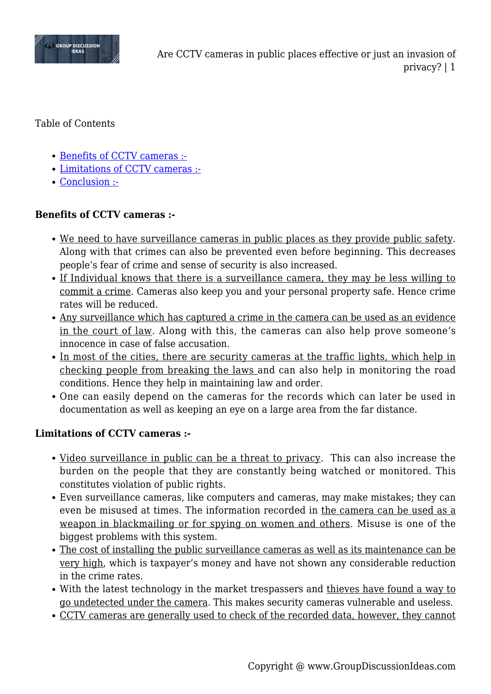

## Table of Contents

- [Benefits of CCTV cameras :-](#page--1-0)
- [Limitations of CCTV cameras :-](#page--1-0)
- [Conclusion :-](#page--1-0)

## **Benefits of CCTV cameras :-**

- We need to have surveillance cameras in public places as they provide public safety. Along with that crimes can also be prevented even before beginning. This decreases people's fear of crime and sense of security is also increased.
- If Individual knows that there is a surveillance camera, they may be less willing to commit a crime. Cameras also keep you and your personal property safe. Hence crime rates will be reduced.
- Any surveillance which has captured a crime in the camera can be used as an evidence in the court of law. Along with this, the cameras can also help prove someone's innocence in case of false accusation.
- In most of the cities, there are security cameras at the traffic lights, which help in checking people from breaking the laws and can also help in monitoring the road conditions. Hence they help in maintaining law and order.
- One can easily depend on the cameras for the records which can later be used in documentation as well as keeping an eye on a large area from the far distance.

## **Limitations of CCTV cameras :-**

- Video surveillance in public can be a threat to privacy. This can also increase the burden on the people that they are constantly being watched or monitored. This constitutes violation of public rights.
- Even surveillance cameras, like computers and cameras, may make mistakes; they can even be misused at times. The information recorded in the camera can be used as a weapon in blackmailing or for spying on women and others. Misuse is one of the biggest problems with this system.
- The cost of installing the public surveillance cameras as well as its maintenance can be very high, which is taxpayer's money and have not shown any considerable reduction in the crime rates.
- With the latest technology in the market trespassers and thieves have found a way to go undetected under the camera. This makes security cameras vulnerable and useless.
- CCTV cameras are generally used to check of the recorded data, however, they cannot